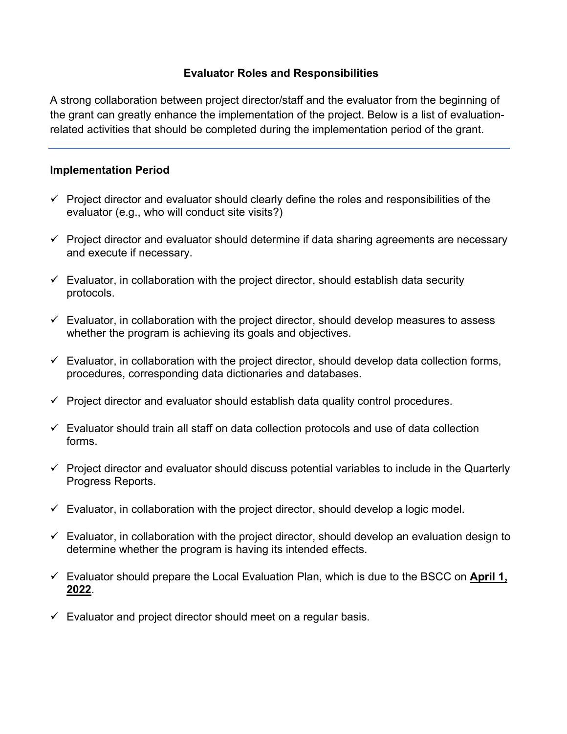## **Evaluator Roles and Responsibilities**

A strong collaboration between project director/staff and the evaluator from the beginning of the grant can greatly enhance the implementation of the project. Below is a list of evaluationrelated activities that should be completed during the implementation period of the grant.

## **Implementation Period**

- $\checkmark$  Project director and evaluator should clearly define the roles and responsibilities of the evaluator (e.g., who will conduct site visits?)
- $\checkmark$  Project director and evaluator should determine if data sharing agreements are necessary and execute if necessary.
- $\checkmark$  Evaluator, in collaboration with the project director, should establish data security protocols.
- $\checkmark$  Evaluator, in collaboration with the project director, should develop measures to assess whether the program is achieving its goals and objectives.
- $\checkmark$  Evaluator, in collaboration with the project director, should develop data collection forms, procedures, corresponding data dictionaries and databases.
- $\checkmark$  Project director and evaluator should establish data quality control procedures.
- $\checkmark$  Evaluator should train all staff on data collection protocols and use of data collection forms.
- $\checkmark$  Project director and evaluator should discuss potential variables to include in the Quarterly Progress Reports.
- $\checkmark$  Evaluator, in collaboration with the project director, should develop a logic model.
- $\checkmark$  Evaluator, in collaboration with the project director, should develop an evaluation design to determine whether the program is having its intended effects.
- Evaluator should prepare the Local Evaluation Plan, which is due to the BSCC on **April 1, 2022**.
- $\checkmark$  Evaluator and project director should meet on a regular basis.